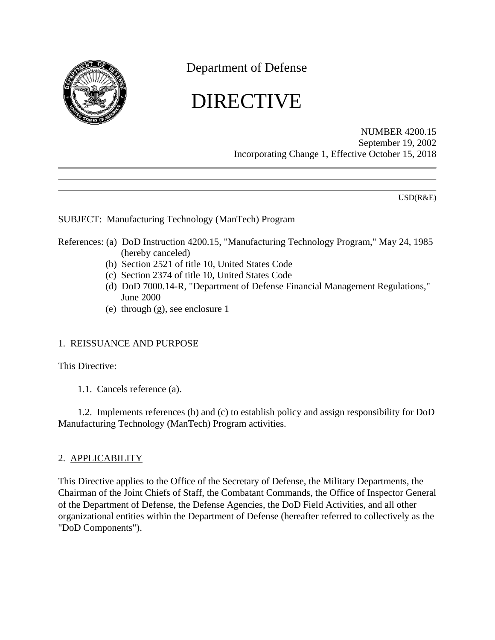

Department of Defense

# DIRECTIVE

NUMBER 4200.15 September 19, 2002 Incorporating Change 1, Effective October 15, 2018

USD(R&E)

## SUBJECT: Manufacturing Technology (ManTech) Program

- References: (a) DoD Instruction 4200.15, "Manufacturing Technology Program," May 24, 1985 (hereby canceled)
	- (b) Section 2521 of title 10, United States Code
	- (c) Section 2374 of title 10, United States Code
	- (d) DoD 7000.14-R, "Department of Defense Financial Management Regulations," June 2000
	- (e) through (g), see enclosure 1

## 1. REISSUANCE AND PURPOSE

This Directive:

1.1. Cancels reference (a).

1.2. Implements references (b) and (c) to establish policy and assign responsibility for DoD Manufacturing Technology (ManTech) Program activities.

#### 2. APPLICABILITY

This Directive applies to the Office of the Secretary of Defense, the Military Departments, the Chairman of the Joint Chiefs of Staff, the Combatant Commands, the Office of Inspector General of the Department of Defense, the Defense Agencies, the DoD Field Activities, and all other organizational entities within the Department of Defense (hereafter referred to collectively as the "DoD Components").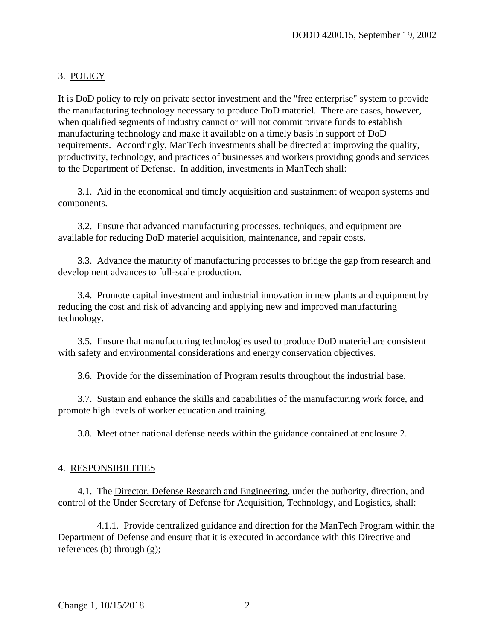## 3. POLICY

It is DoD policy to rely on private sector investment and the "free enterprise" system to provide the manufacturing technology necessary to produce DoD materiel. There are cases, however, when qualified segments of industry cannot or will not commit private funds to establish manufacturing technology and make it available on a timely basis in support of DoD requirements. Accordingly, ManTech investments shall be directed at improving the quality, productivity, technology, and practices of businesses and workers providing goods and services to the Department of Defense. In addition, investments in ManTech shall:

3.1. Aid in the economical and timely acquisition and sustainment of weapon systems and components.

3.2. Ensure that advanced manufacturing processes, techniques, and equipment are available for reducing DoD materiel acquisition, maintenance, and repair costs.

3.3. Advance the maturity of manufacturing processes to bridge the gap from research and development advances to full-scale production.

3.4. Promote capital investment and industrial innovation in new plants and equipment by reducing the cost and risk of advancing and applying new and improved manufacturing technology.

3.5. Ensure that manufacturing technologies used to produce DoD materiel are consistent with safety and environmental considerations and energy conservation objectives.

3.6. Provide for the dissemination of Program results throughout the industrial base.

3.7. Sustain and enhance the skills and capabilities of the manufacturing work force, and promote high levels of worker education and training.

3.8. Meet other national defense needs within the guidance contained at enclosure 2.

#### 4. RESPONSIBILITIES

4.1. The Director, Defense Research and Engineering, under the authority, direction, and control of the Under Secretary of Defense for Acquisition, Technology, and Logistics, shall:

4.1.1. Provide centralized guidance and direction for the ManTech Program within the Department of Defense and ensure that it is executed in accordance with this Directive and references (b) through (g);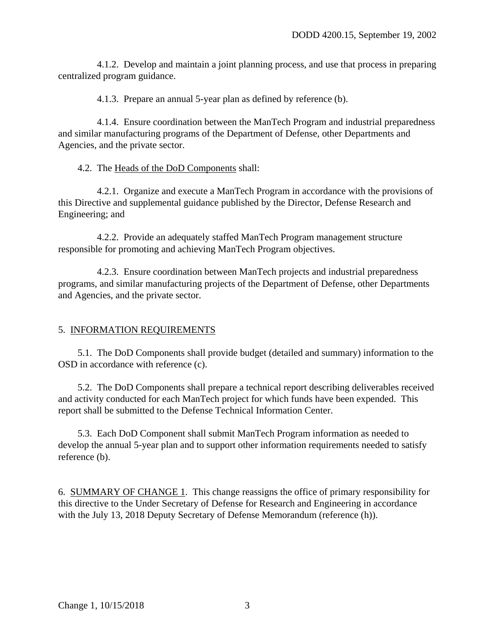4.1.2. Develop and maintain a joint planning process, and use that process in preparing centralized program guidance.

4.1.3. Prepare an annual 5-year plan as defined by reference (b).

4.1.4. Ensure coordination between the ManTech Program and industrial preparedness and similar manufacturing programs of the Department of Defense, other Departments and Agencies, and the private sector.

4.2. The Heads of the DoD Components shall:

4.2.1. Organize and execute a ManTech Program in accordance with the provisions of this Directive and supplemental guidance published by the Director, Defense Research and Engineering; and

4.2.2. Provide an adequately staffed ManTech Program management structure responsible for promoting and achieving ManTech Program objectives.

4.2.3. Ensure coordination between ManTech projects and industrial preparedness programs, and similar manufacturing projects of the Department of Defense, other Departments and Agencies, and the private sector.

#### 5. INFORMATION REQUIREMENTS

5.1. The DoD Components shall provide budget (detailed and summary) information to the OSD in accordance with reference (c).

5.2. The DoD Components shall prepare a technical report describing deliverables received and activity conducted for each ManTech project for which funds have been expended. This report shall be submitted to the Defense Technical Information Center.

5.3. Each DoD Component shall submit ManTech Program information as needed to develop the annual 5-year plan and to support other information requirements needed to satisfy reference (b).

6. SUMMARY OF CHANGE 1. This change reassigns the office of primary responsibility for this directive to the Under Secretary of Defense for Research and Engineering in accordance with the July 13, 2018 Deputy Secretary of Defense Memorandum (reference (h)).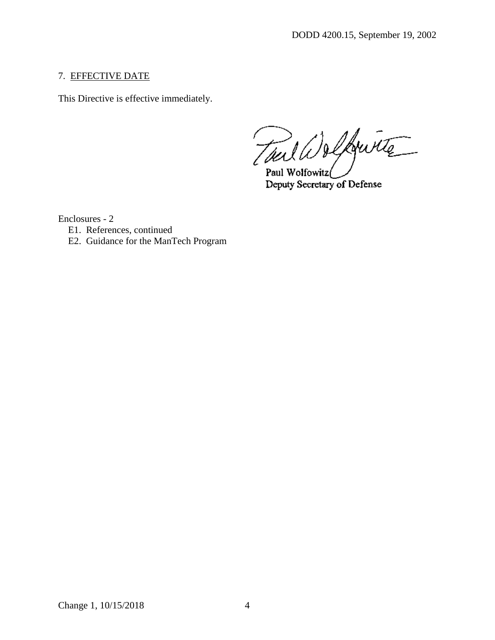## 7. EFFECTIVE DATE

This Directive is effective immediately.

Tout Welkwitz

Paul Wolfowitz Deputy Secretary of Defense

Enclosures - 2

- E1. References, continued
- E2. Guidance for the ManTech Program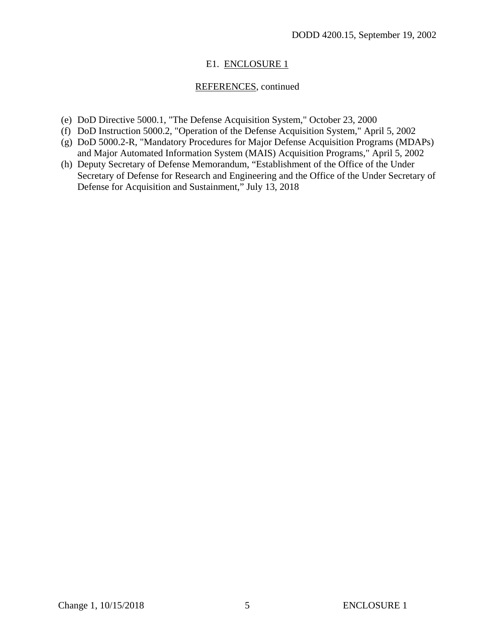## E1. ENCLOSURE 1

# REFERENCES, continued

- (e) DoD Directive 5000.1, "The Defense Acquisition System," October 23, 2000
- (f) DoD Instruction 5000.2, "Operation of the Defense Acquisition System," April 5, 2002
- (g) DoD 5000.2-R, "Mandatory Procedures for Major Defense Acquisition Programs (MDAPs) and Major Automated Information System (MAIS) Acquisition Programs," April 5, 2002
- (h) Deputy Secretary of Defense Memorandum, "Establishment of the Office of the Under Secretary of Defense for Research and Engineering and the Office of the Under Secretary of Defense for Acquisition and Sustainment," July 13, 2018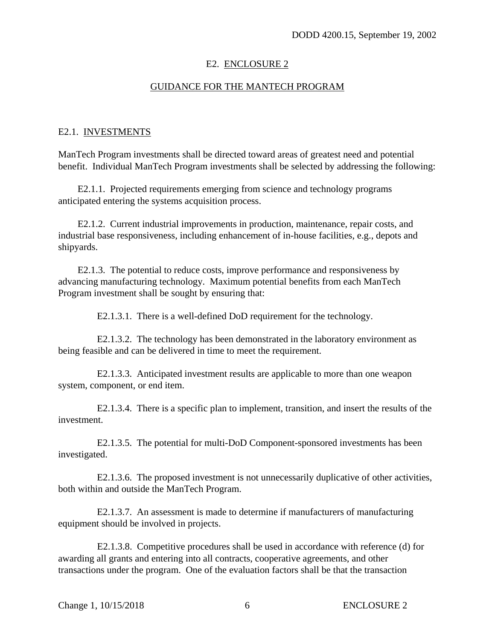#### E2. ENCLOSURE 2

## GUIDANCE FOR THE MANTECH PROGRAM

#### E2.1. INVESTMENTS

ManTech Program investments shall be directed toward areas of greatest need and potential benefit. Individual ManTech Program investments shall be selected by addressing the following:

E2.1.1. Projected requirements emerging from science and technology programs anticipated entering the systems acquisition process.

E2.1.2. Current industrial improvements in production, maintenance, repair costs, and industrial base responsiveness, including enhancement of in-house facilities, e.g., depots and shipyards.

E2.1.3. The potential to reduce costs, improve performance and responsiveness by advancing manufacturing technology. Maximum potential benefits from each ManTech Program investment shall be sought by ensuring that:

E2.1.3.1. There is a well-defined DoD requirement for the technology.

E2.1.3.2. The technology has been demonstrated in the laboratory environment as being feasible and can be delivered in time to meet the requirement.

E2.1.3.3. Anticipated investment results are applicable to more than one weapon system, component, or end item.

E2.1.3.4. There is a specific plan to implement, transition, and insert the results of the investment.

E2.1.3.5. The potential for multi-DoD Component-sponsored investments has been investigated.

E2.1.3.6. The proposed investment is not unnecessarily duplicative of other activities, both within and outside the ManTech Program.

E2.1.3.7. An assessment is made to determine if manufacturers of manufacturing equipment should be involved in projects.

E2.1.3.8. Competitive procedures shall be used in accordance with reference (d) for awarding all grants and entering into all contracts, cooperative agreements, and other transactions under the program. One of the evaluation factors shall be that the transaction